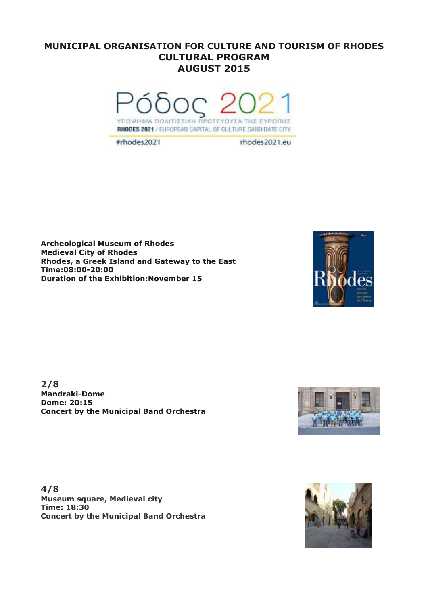## **MUNICIPAL ORGANISATION FOR CULTURE AND TOURISM OF RHODES CULTURAL PROGRAM AUGUST 2015**



#rhodes2021

rhodes2021.eu

**Archeological Museum of Rhodes Medieval City of Rhodes Rhodes, a Greek Island and Gateway to the East Time:08:00-20:00 Duration of the Exhibition:November 15**



**2/8 Mandraki-Dome Dome: 20:15 Concert by the Municipal Band Orchestra**



**4/8 Museum square, Medieval city Time: 18:30 Concert by the Municipal Band Orchestra**

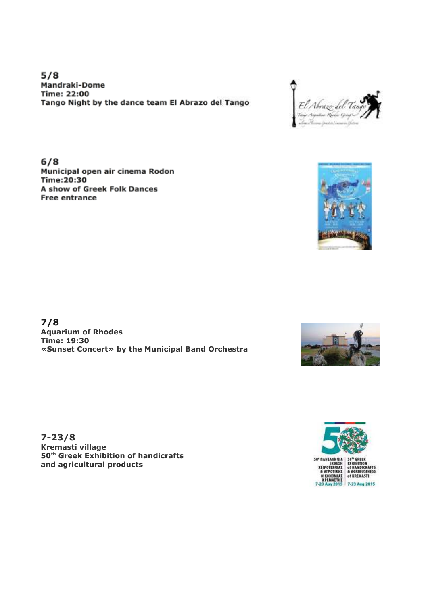$5/8$ Mandraki-Dome **Time: 22:00** Tango Night by the dance team El Abrazo del Tango

 $6/8$ Municipal open air cinema Rodon Time:20:30 A show of Greek Folk Dances **Free entrance** 

**7/8 Aquarium of Rhodes Time: 19:30 «Sunset Concert» by the Municipal Band Orchestra** 

**7-23/8 Kremasti village 50th Greek Exhibition of handicrafts and agricultural products** 









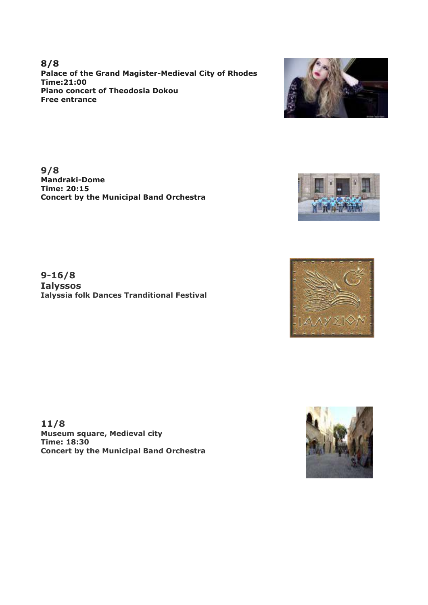**8/8 Palace of the Grand Magister-Medieval City of Rhodes Time:21:00 Piano concert of Theodosia Dokou Free entrance**

**9/8 Mandraki-Dome Time: 20:15 Concert by the Municipal Band Orchestra**

**9-16/8 Ialyssos Ialyssia folk Dances Tranditional Festival**

**11/8 Museum square, Medieval city Time: 18:30 Concert by the Municipal Band Orchestra**







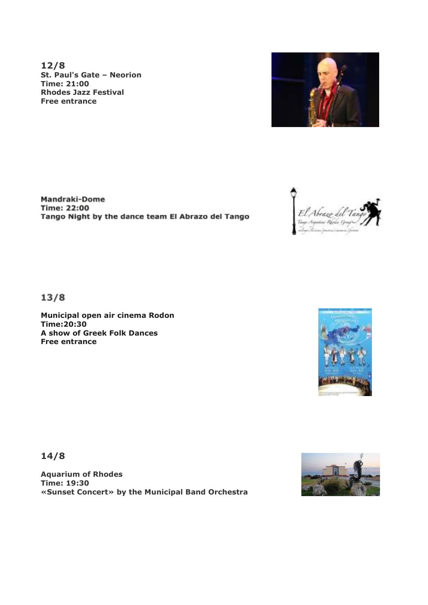**12/8 St. Paul's Gate – Neorion Time: 21:00 Rhodes Jazz Festival Free entrance**



**Mandraki-Dome Time: 22:00** Tango Night by the dance team El Abrazo del Tango



 $13/8$ 

**Municipal open air cinema Rodon Time:20:30 A show of Greek Folk Dances Free entrance**



**14/8**

**Aquarium of Rhodes Time: 19:30 «Sunset Concert» by the Municipal Band Orchestra** 

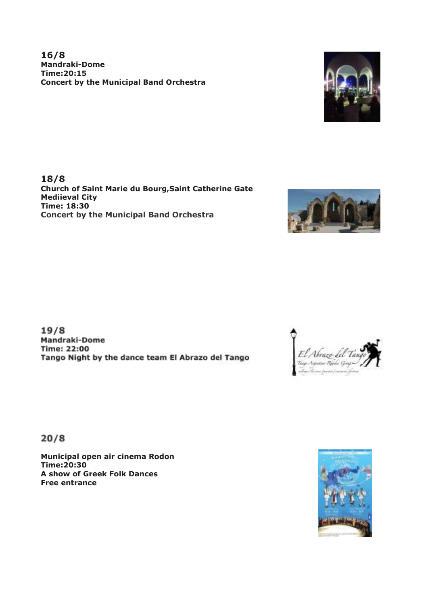**16/8 Mandraki-Dome Time:20:15 Concert by the Municipal Band Orchestra**



**18/8 Church of Saint Marie du Bourg,Saint Catherine Gate Mediieval City Time: 18:30 Concert by the Municipal Band Orchestra**



 $19/8$ Mandraki-Dome **Time: 22:00** Tango Night by the dance team El Abrazo del Tango



 $20/8$ 

**Municipal open air cinema Rodon Time:20:30 A show of Greek Folk Dances Free entrance**

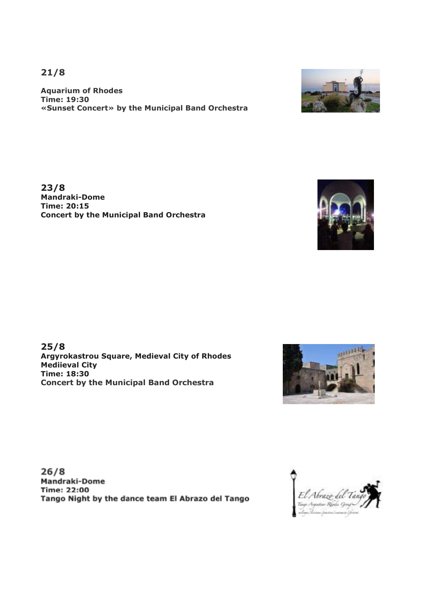**21/8**

**Aquarium of Rhodes Time: 19:30 «Sunset Concert» by the Municipal Band Orchestra** 

**23/8 Mandraki-Dome Time: 20:15 Concert by the Municipal Band Orchestra**

**25/8 Argyrokastrou Square, Medieval City of Rhodes Mediieval City Time: 18:30 Concert by the Municipal Band Orchestra**

 $26/8$ Mandraki-Dome **Time: 22:00** Tango Night by the dance team El Abrazo del Tango









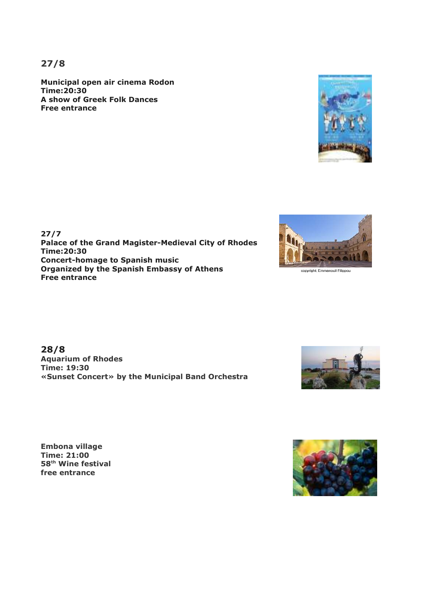**27/8**

**Municipal open air cinema Rodon Time:20:30 A show of Greek Folk Dances Free entrance**



**28/8 Aquarium of Rhodes Time: 19:30 «Sunset Concert» by the Municipal Band Orchestra** 

**Embona village Time: 21:00 58th Wine festival free entrance**





copyright: Emmanouil Filippou